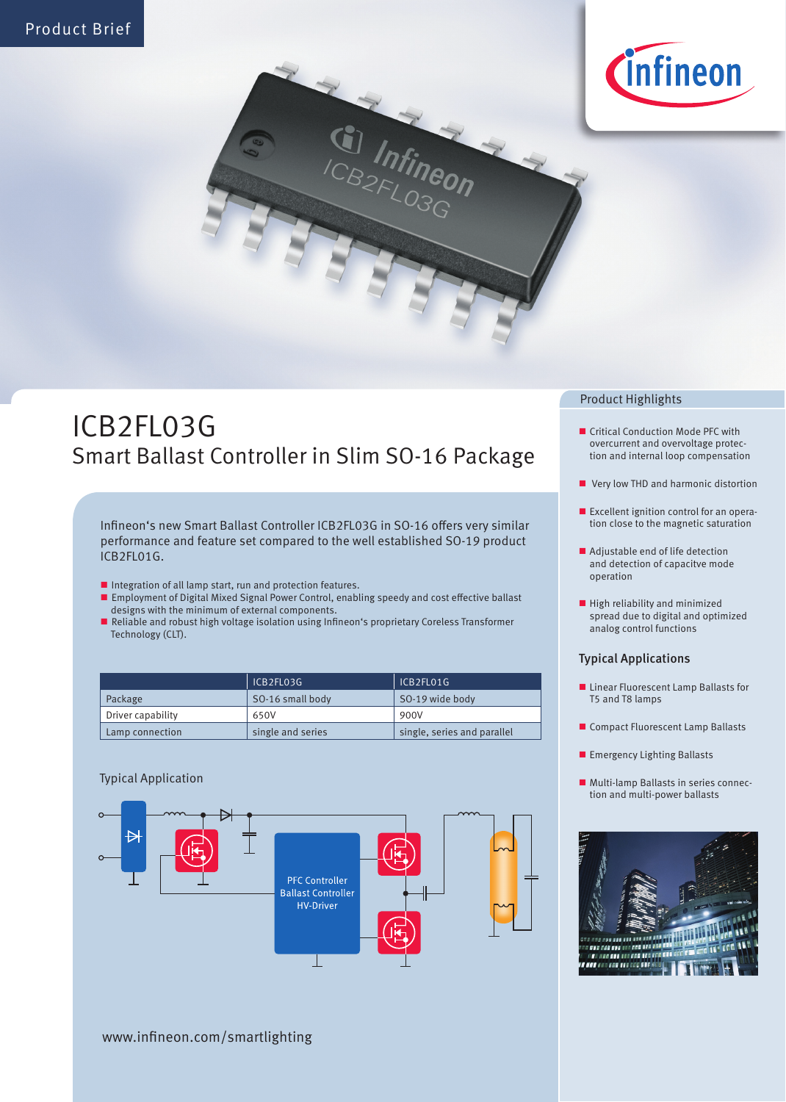



# ICB2FL03G Smart Ballast Controller in Slim SO-16 Package

Infineon's new Smart Ballast Controller ICB2FL03G in SO-16 offers very similar performance and feature set compared to the well established SO-19 product ICB2FL01G.

- Integration of all lamp start, run and protection features.
- Employment of Digital Mixed Signal Power Control, enabling speedy and cost effective ballast designs with the minimum of external components.
- Reliable and robust high voltage isolation using Infineon's proprietary Coreless Transformer Technology (CLT).

|                   | ICB2FL03G         | ICB2FL01G                   |
|-------------------|-------------------|-----------------------------|
| Package           | SO-16 small body  | SO-19 wide body             |
| Driver capability | 650V              | 900V                        |
| Lamp connection   | single and series | single, series and parallel |

### Typical Application



#### Product Highlights

- Critical Conduction Mode PFC with overcurrent and overvoltage protection and internal loop compensation
- Very low THD and harmonic distortion
- **Excellent ignition control for an opera**tion close to the magnetic saturation
- Adjustable end of life detection and detection of capacitve mode operation
- $\blacksquare$  High reliability and minimized spread due to digital and optimized analog control functions

#### Typical Applications

- **Linear Fluorescent Lamp Ballasts for** T5 and T8 lamps
- Compact Fluorescent Lamp Ballasts
- **Emergency Lighting Ballasts**
- Multi-lamp Ballasts in series connection and multi-power ballasts